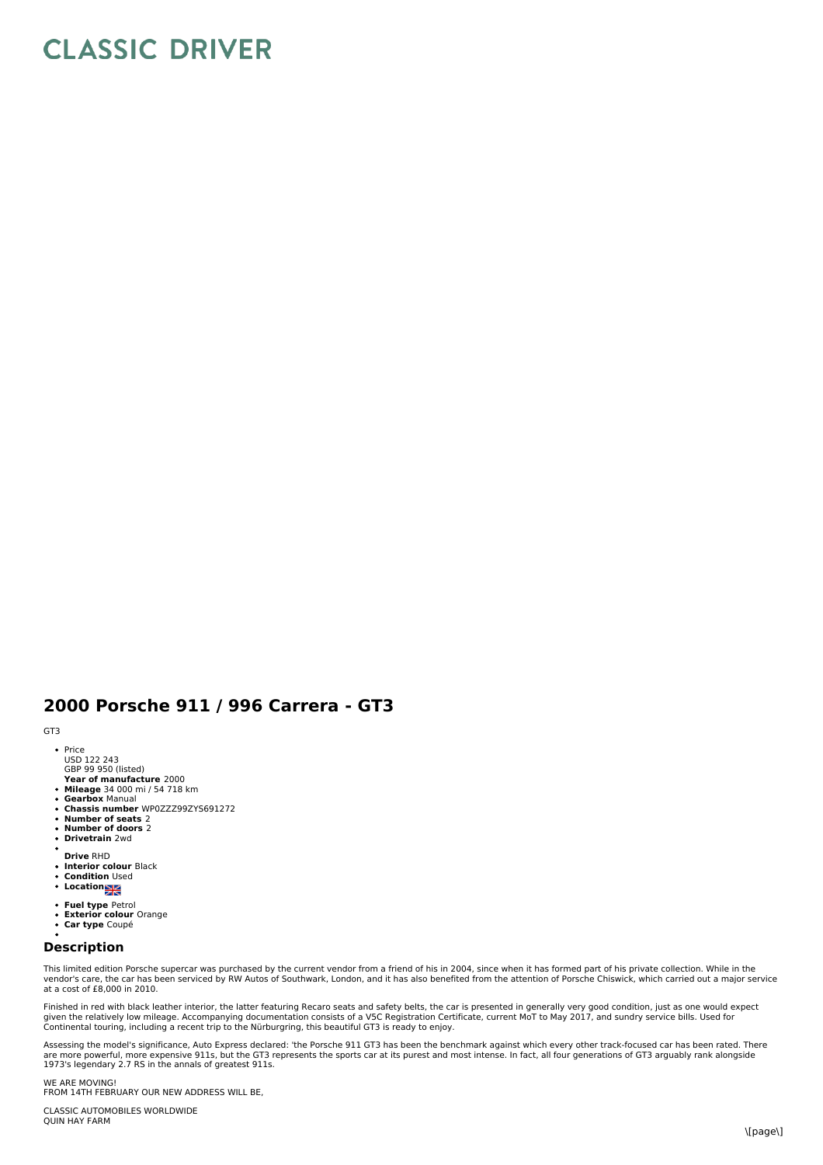## **CLASSIC DRIVER**

## **2000 Porsche 911 / 996 Carrera - GT3**

GT3

- Price<br>USD 122 243
- GBP 99 950 (listed)
- **Year of manufacture** 2000 **Mileage** 34 000 mi / 54 718 km
- 
- **Gearbox** Manual **Chassis number** WP0ZZZ99ZYS691272
- 
- **Number of seats** 2 **Number of doors** 2  $\bullet$
- **Drivetrain** 2wd
- **Drive** RHD
- $\ddot{\phantom{0}}$ **Interior colour** Black
- **Condition Used Location**
- 
- **Fuel type** Petrol
- **Exterior colour** Orange **Car type** Coupé
- 

## **Description**

This limited edition Porsche supercar was purchased by the current vendor from a friend of his in 2004, since when it has formed part of his private collection. While in the<br>vendor's care, the car has been serviced by RW A at a cost of £8,000 in 2010.

Finished in red with black leather interior, the latter featuring Recaro seats and safety belts, the car is presented in generally very good condition, just as one would expect<br>given the relatively low mileage. Accompanyin

Assessing the model's significance, Auto Express declared: 'the Porsche 911 GT3 has been the benchmark against which every other track-focused car has been rated. There are more powerful, more expensive 911s, but the GT3 represents the sports car at its purest and most intense. In fact, all four generations of GT3 arguably rank alongside<br>1973's legendary 2.7 RS in the annals of greatest 9

WE ARE MOVING! FROM 14TH FEBRUARY OUR NEW ADDRESS WILL BE,

CLASSIC AUTOMOBILES WORLDWIDE QUIN HAY FARM